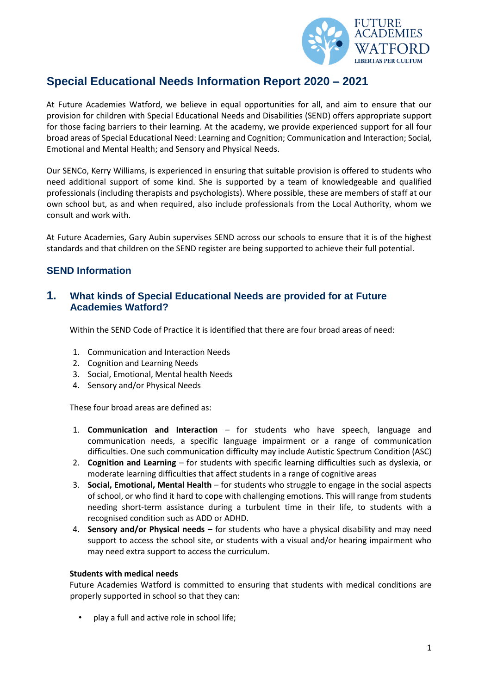

# **Special Educational Needs Information Report 2020 – 2021**

At Future Academies Watford, we believe in equal opportunities for all, and aim to ensure that our provision for children with Special Educational Needs and Disabilities (SEND) offers appropriate support for those facing barriers to their learning. At the academy, we provide experienced support for all four broad areas of Special Educational Need: Learning and Cognition; Communication and Interaction; Social, Emotional and Mental Health; and Sensory and Physical Needs.

Our SENCo, Kerry Williams, is experienced in ensuring that suitable provision is offered to students who need additional support of some kind. She is supported by a team of knowledgeable and qualified professionals (including therapists and psychologists). Where possible, these are members of staff at our own school but, as and when required, also include professionals from the Local Authority, whom we consult and work with.

At Future Academies, Gary Aubin supervises SEND across our schools to ensure that it is of the highest standards and that children on the SEND register are being supported to achieve their full potential.

# **SEND Information**

### **1. What kinds of Special Educational Needs are provided for at Future Academies Watford?**

Within the SEND Code of Practice it is identified that there are four broad areas of need:

- 1. Communication and Interaction Needs
- 2. Cognition and Learning Needs
- 3. Social, Emotional, Mental health Needs
- 4. Sensory and/or Physical Needs

These four broad areas are defined as:

- 1. **Communication and Interaction**  for students who have speech, language and communication needs, a specific language impairment or a range of communication difficulties. One such communication difficulty may include Autistic Spectrum Condition (ASC)
- 2. **Cognition and Learning**  for students with specific learning difficulties such as dyslexia, or moderate learning difficulties that affect students in a range of cognitive areas
- 3. **Social, Emotional, Mental Health**  for students who struggle to engage in the social aspects of school, or who find it hard to cope with challenging emotions. This will range from students needing short-term assistance during a turbulent time in their life, to students with a recognised condition such as ADD or ADHD.
- 4. **Sensory and/or Physical needs –** for students who have a physical disability and may need support to access the school site, or students with a visual and/or hearing impairment who may need extra support to access the curriculum.

#### **Students with medical needs**

Future Academies Watford is committed to ensuring that students with medical conditions are properly supported in school so that they can:

• play a full and active role in school life;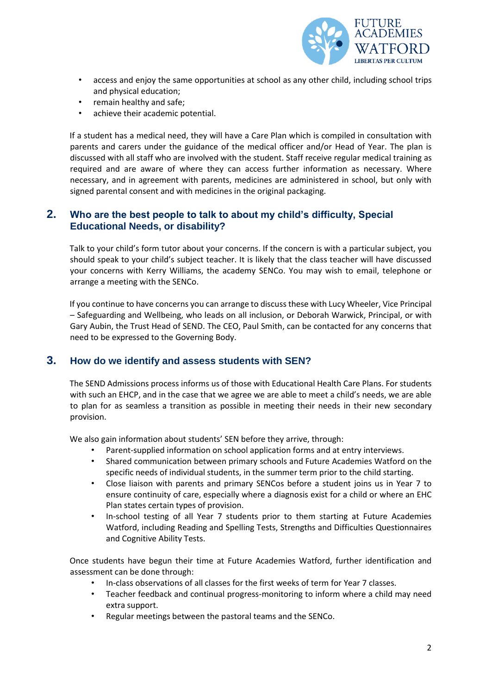

- access and enjoy the same opportunities at school as any other child, including school trips and physical education;
- remain healthy and safe;
- achieve their academic potential.

If a student has a medical need, they will have a Care Plan which is compiled in consultation with parents and carers under the guidance of the medical officer and/or Head of Year. The plan is discussed with all staff who are involved with the student. Staff receive regular medical training as required and are aware of where they can access further information as necessary. Where necessary, and in agreement with parents, medicines are administered in school, but only with signed parental consent and with medicines in the original packaging.

### **2. Who are the best people to talk to about my child's difficulty, Special Educational Needs, or disability?**

Talk to your child's form tutor about your concerns. If the concern is with a particular subject, you should speak to your child's subject teacher. It is likely that the class teacher will have discussed your concerns with Kerry Williams, the academy SENCo. You may wish to email, telephone or arrange a meeting with the SENCo.

If you continue to have concerns you can arrange to discuss these with Lucy Wheeler, Vice Principal – Safeguarding and Wellbeing, who leads on all inclusion, or Deborah Warwick, Principal, or with Gary Aubin, the Trust Head of SEND. The CEO, Paul Smith, can be contacted for any concerns that need to be expressed to the Governing Body.

### **3. How do we identify and assess students with SEN?**

The SEND Admissions process informs us of those with Educational Health Care Plans. For students with such an EHCP, and in the case that we agree we are able to meet a child's needs, we are able to plan for as seamless a transition as possible in meeting their needs in their new secondary provision.

We also gain information about students' SEN before they arrive, through:

- Parent-supplied information on school application forms and at entry interviews.
- Shared communication between primary schools and Future Academies Watford on the specific needs of individual students, in the summer term prior to the child starting.
- Close liaison with parents and primary SENCos before a student joins us in Year 7 to ensure continuity of care, especially where a diagnosis exist for a child or where an EHC Plan states certain types of provision.
- In-school testing of all Year 7 students prior to them starting at Future Academies Watford, including Reading and Spelling Tests, Strengths and Difficulties Questionnaires and Cognitive Ability Tests.

Once students have begun their time at Future Academies Watford, further identification and assessment can be done through:

- In-class observations of all classes for the first weeks of term for Year 7 classes.
- Teacher feedback and continual progress-monitoring to inform where a child may need extra support.
- Regular meetings between the pastoral teams and the SENCo.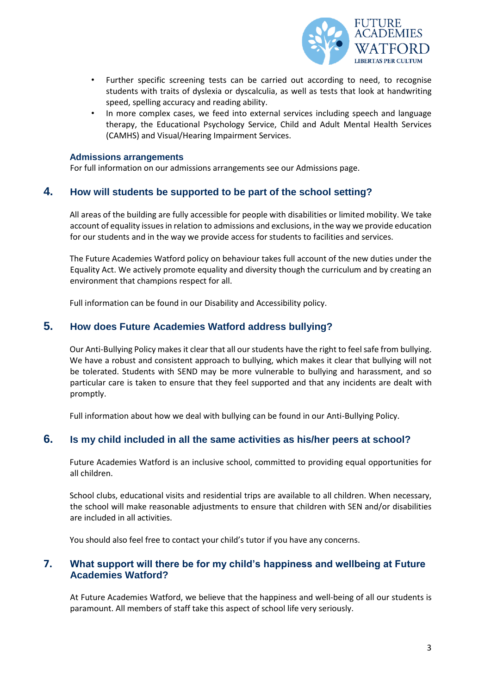

- Further specific screening tests can be carried out according to need, to recognise students with traits of dyslexia or dyscalculia, as well as tests that look at handwriting speed, spelling accuracy and reading ability.
- In more complex cases, we feed into external services including speech and language therapy, the Educational Psychology Service, Child and Adult Mental Health Services (CAMHS) and Visual/Hearing Impairment Services.

#### **Admissions arrangements**

For full information on our admissions arrangements see our Admissions page.

#### **4. How will students be supported to be part of the school setting?**

All areas of the building are fully accessible for people with disabilities or limited mobility. We take account of equality issues in relation to admissions and exclusions, in the way we provide education for our students and in the way we provide access for students to facilities and services.

The Future Academies Watford policy on behaviour takes full account of the new duties under the Equality Act. We actively promote equality and diversity though the curriculum and by creating an environment that champions respect for all.

Full information can be found in our Disability and Accessibility policy.

#### **5. How does Future Academies Watford address bullying?**

Our Anti-Bullying Policy makes it clear that all our students have the right to feel safe from bullying. We have a robust and consistent approach to bullying, which makes it clear that bullying will not be tolerated. Students with SEND may be more vulnerable to bullying and harassment, and so particular care is taken to ensure that they feel supported and that any incidents are dealt with promptly.

Full information about how we deal with bullying can be found in our Anti-Bullying Policy.

### **6. Is my child included in all the same activities as his/her peers at school?**

Future Academies Watford is an inclusive school, committed to providing equal opportunities for all children.

School clubs, educational visits and residential trips are available to all children. When necessary, the school will make reasonable adjustments to ensure that children with SEN and/or disabilities are included in all activities.

You should also feel free to contact your child's tutor if you have any concerns.

#### **7. What support will there be for my child's happiness and wellbeing at Future Academies Watford?**

At Future Academies Watford, we believe that the happiness and well-being of all our students is paramount. All members of staff take this aspect of school life very seriously.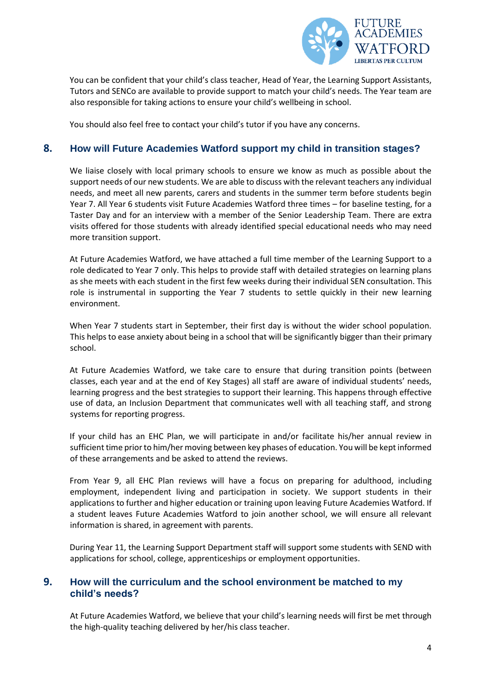

You can be confident that your child's class teacher, Head of Year, the Learning Support Assistants, Tutors and SENCo are available to provide support to match your child's needs. The Year team are also responsible for taking actions to ensure your child's wellbeing in school.

You should also feel free to contact your child's tutor if you have any concerns.

#### **8. How will Future Academies Watford support my child in transition stages?**

We liaise closely with local primary schools to ensure we know as much as possible about the support needs of our new students. We are able to discuss with the relevant teachers any individual needs, and meet all new parents, carers and students in the summer term before students begin Year 7. All Year 6 students visit Future Academies Watford three times – for baseline testing, for a Taster Day and for an interview with a member of the Senior Leadership Team. There are extra visits offered for those students with already identified special educational needs who may need more transition support.

At Future Academies Watford, we have attached a full time member of the Learning Support to a role dedicated to Year 7 only. This helps to provide staff with detailed strategies on learning plans as she meets with each student in the first few weeks during their individual SEN consultation. This role is instrumental in supporting the Year 7 students to settle quickly in their new learning environment.

When Year 7 students start in September, their first day is without the wider school population. This helps to ease anxiety about being in a school that will be significantly bigger than their primary school.

At Future Academies Watford, we take care to ensure that during transition points (between classes, each year and at the end of Key Stages) all staff are aware of individual students' needs, learning progress and the best strategies to support their learning. This happens through effective use of data, an Inclusion Department that communicates well with all teaching staff, and strong systems for reporting progress.

If your child has an EHC Plan, we will participate in and/or facilitate his/her annual review in sufficient time prior to him/her moving between key phases of education. You will be kept informed of these arrangements and be asked to attend the reviews.

From Year 9, all EHC Plan reviews will have a focus on preparing for adulthood, including employment, independent living and participation in society. We support students in their applications to further and higher education or training upon leaving Future Academies Watford. If a student leaves Future Academies Watford to join another school, we will ensure all relevant information is shared, in agreement with parents.

During Year 11, the Learning Support Department staff will support some students with SEND with applications for school, college, apprenticeships or employment opportunities.

### **9. How will the curriculum and the school environment be matched to my child's needs?**

At Future Academies Watford, we believe that your child's learning needs will first be met through the high-quality teaching delivered by her/his class teacher.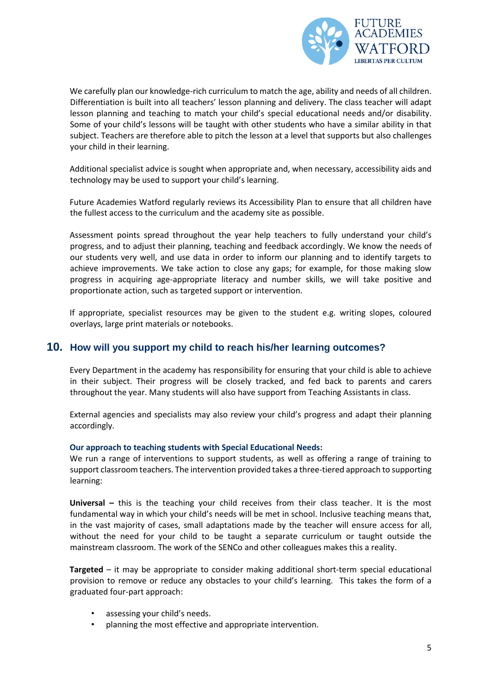

We carefully plan our knowledge-rich curriculum to match the age, ability and needs of all children. Differentiation is built into all teachers' lesson planning and delivery. The class teacher will adapt lesson planning and teaching to match your child's special educational needs and/or disability. Some of your child's lessons will be taught with other students who have a similar ability in that subject. Teachers are therefore able to pitch the lesson at a level that supports but also challenges your child in their learning.

Additional specialist advice is sought when appropriate and, when necessary, accessibility aids and technology may be used to support your child's learning.

Future Academies Watford regularly reviews its Accessibility Plan to ensure that all children have the fullest access to the curriculum and the academy site as possible.

Assessment points spread throughout the year help teachers to fully understand your child's progress, and to adjust their planning, teaching and feedback accordingly. We know the needs of our students very well, and use data in order to inform our planning and to identify targets to achieve improvements. We take action to close any gaps; for example, for those making slow progress in acquiring age-appropriate literacy and number skills, we will take positive and proportionate action, such as targeted support or intervention.

If appropriate, specialist resources may be given to the student e.g. writing slopes, coloured overlays, large print materials or notebooks.

#### **10. How will you support my child to reach his/her learning outcomes?**

Every Department in the academy has responsibility for ensuring that your child is able to achieve in their subject. Their progress will be closely tracked, and fed back to parents and carers throughout the year. Many students will also have support from Teaching Assistants in class.

External agencies and specialists may also review your child's progress and adapt their planning accordingly.

#### **Our approach to teaching students with Special Educational Needs:**

We run a range of interventions to support students, as well as offering a range of training to support classroom teachers. The intervention provided takes a three-tiered approach to supporting learning:

**Universal –** this is the teaching your child receives from their class teacher. It is the most fundamental way in which your child's needs will be met in school. Inclusive teaching means that, in the vast majority of cases, small adaptations made by the teacher will ensure access for all, without the need for your child to be taught a separate curriculum or taught outside the mainstream classroom. The work of the SENCo and other colleagues makes this a reality.

**Targeted** – it may be appropriate to consider making additional short-term special educational provision to remove or reduce any obstacles to your child's learning. This takes the form of a graduated four-part approach:

- assessing your child's needs.
- planning the most effective and appropriate intervention.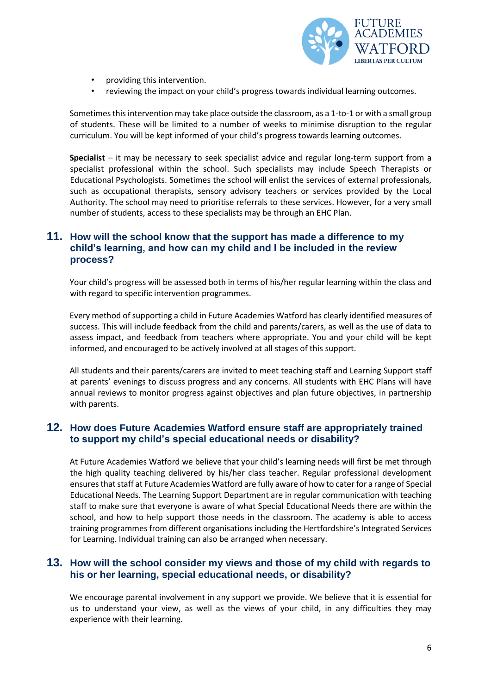

- providing this intervention.
- reviewing the impact on your child's progress towards individual learning outcomes.

Sometimes this intervention may take place outside the classroom, as a 1-to-1 or with a small group of students. These will be limited to a number of weeks to minimise disruption to the regular curriculum. You will be kept informed of your child's progress towards learning outcomes.

**Specialist** – it may be necessary to seek specialist advice and regular long-term support from a specialist professional within the school. Such specialists may include Speech Therapists or Educational Psychologists. Sometimes the school will enlist the services of external professionals, such as occupational therapists, sensory advisory teachers or services provided by the Local Authority. The school may need to prioritise referrals to these services. However, for a very small number of students, access to these specialists may be through an EHC Plan.

### **11. How will the school know that the support has made a difference to my child's learning, and how can my child and I be included in the review process?**

Your child's progress will be assessed both in terms of his/her regular learning within the class and with regard to specific intervention programmes.

Every method of supporting a child in Future Academies Watford has clearly identified measures of success. This will include feedback from the child and parents/carers, as well as the use of data to assess impact, and feedback from teachers where appropriate. You and your child will be kept informed, and encouraged to be actively involved at all stages of this support.

All students and their parents/carers are invited to meet teaching staff and Learning Support staff at parents' evenings to discuss progress and any concerns. All students with EHC Plans will have annual reviews to monitor progress against objectives and plan future objectives, in partnership with parents.

### **12. How does Future Academies Watford ensure staff are appropriately trained to support my child's special educational needs or disability?**

At Future Academies Watford we believe that your child's learning needs will first be met through the high quality teaching delivered by his/her class teacher. Regular professional development ensures that staff at Future Academies Watford are fully aware of how to cater for a range of Special Educational Needs. The Learning Support Department are in regular communication with teaching staff to make sure that everyone is aware of what Special Educational Needs there are within the school, and how to help support those needs in the classroom. The academy is able to access training programmes from different organisations including the Hertfordshire's Integrated Services for Learning. Individual training can also be arranged when necessary.

#### **13. How will the school consider my views and those of my child with regards to his or her learning, special educational needs, or disability?**

We encourage parental involvement in any support we provide. We believe that it is essential for us to understand your view, as well as the views of your child, in any difficulties they may experience with their learning.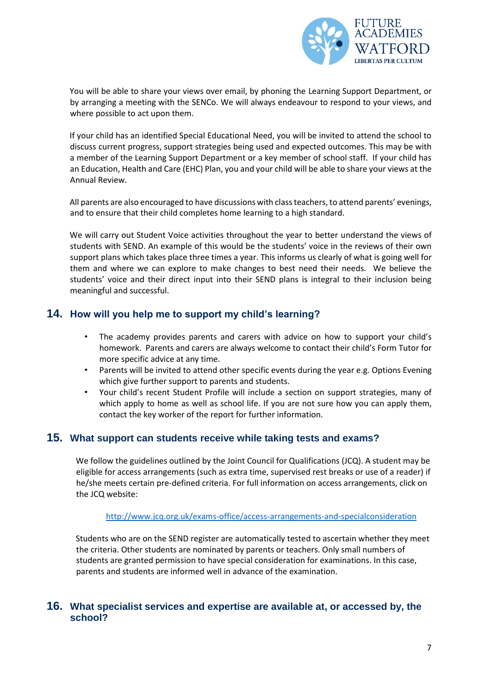

You will be able to share your views over email, by phoning the Learning Support Department, or by arranging a meeting with the SENCo. We will always endeavour to respond to your views, and where possible to act upon them.

If your child has an identified Special Educational Need, you will be invited to attend the school to discuss current progress, support strategies being used and expected outcomes. This may be with a member of the Learning Support Department or a key member of school staff. If your child has an Education, Health and Care (EHC) Plan, you and your child will be able to share your views at the Annual Review.

All parents are also encouraged to have discussions with class teachers, to attend parents' evenings, and to ensure that their child completes home learning to a high standard.

We will carry out Student Voice activities throughout the year to better understand the views of students with SEND. An example of this would be the students' voice in the reviews of their own support plans which takes place three times a year. This informs us clearly of what is going well for them and where we can explore to make changes to best need their needs. We believe the students' voice and their direct input into their SEND plans is integral to their inclusion being meaningful and successful.

# **14. How will you help me to support my child's learning?**

- The academy provides parents and carers with advice on how to support your child's homework. Parents and carers are always welcome to contact their child's Form Tutor for more specific advice at any time.
- Parents will be invited to attend other specific events during the year e.g. Options Evening which give further support to parents and students.
- Your child's recent Student Profile will include a section on support strategies, many of which apply to home as well as school life. If you are not sure how you can apply them, contact the key worker of the report for further information.

### **15. What support can students receive while taking tests and exams?**

We follow the guidelines outlined by the Joint Council for Qualifications (JCQ). A student may be eligible for access arrangements (such as extra time, supervised rest breaks or use of a reader) if he/she meets certain pre-defined criteria. For full information on access arrangements, click on the JCQ website:

[http://www.jcq.org.uk/exams-office/access-arrangements-and-specialconsideration](http://www.jcq.org.uk/exams-office/access-arrangements-and-special-consideration) 

Students who are on the SEND register are automatically tested to ascertain whether they meet the criteria. Other students are nominated by parents or teachers. Only small numbers of students are granted permission to have special consideration for examinations. In this case, parents and students are informed well in advance of the examination.

#### **16. What specialist services and expertise are available at, or accessed by, the school?**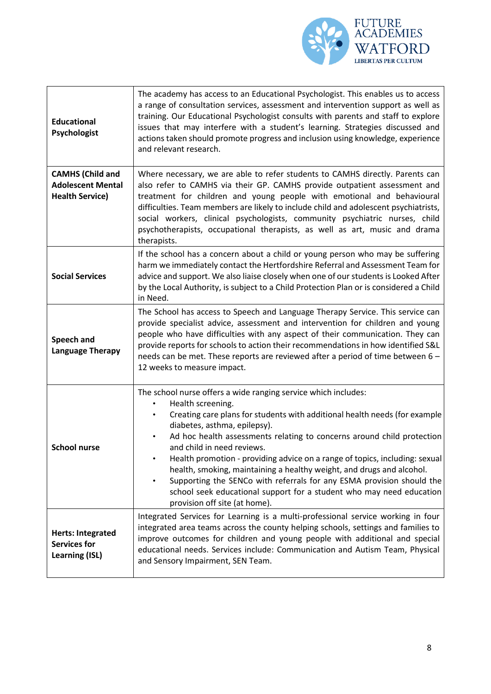

| <b>Educational</b><br>Psychologist                                            | The academy has access to an Educational Psychologist. This enables us to access<br>a range of consultation services, assessment and intervention support as well as<br>training. Our Educational Psychologist consults with parents and staff to explore<br>issues that may interfere with a student's learning. Strategies discussed and<br>actions taken should promote progress and inclusion using knowledge, experience<br>and relevant research.                                                                                                                                                                                             |
|-------------------------------------------------------------------------------|-----------------------------------------------------------------------------------------------------------------------------------------------------------------------------------------------------------------------------------------------------------------------------------------------------------------------------------------------------------------------------------------------------------------------------------------------------------------------------------------------------------------------------------------------------------------------------------------------------------------------------------------------------|
| <b>CAMHS (Child and</b><br><b>Adolescent Mental</b><br><b>Health Service)</b> | Where necessary, we are able to refer students to CAMHS directly. Parents can<br>also refer to CAMHS via their GP. CAMHS provide outpatient assessment and<br>treatment for children and young people with emotional and behavioural<br>difficulties. Team members are likely to include child and adolescent psychiatrists,<br>social workers, clinical psychologists, community psychiatric nurses, child<br>psychotherapists, occupational therapists, as well as art, music and drama<br>therapists.                                                                                                                                            |
| <b>Social Services</b>                                                        | If the school has a concern about a child or young person who may be suffering<br>harm we immediately contact the Hertfordshire Referral and Assessment Team for<br>advice and support. We also liaise closely when one of our students is Looked After<br>by the Local Authority, is subject to a Child Protection Plan or is considered a Child<br>in Need.                                                                                                                                                                                                                                                                                       |
| Speech and<br><b>Language Therapy</b>                                         | The School has access to Speech and Language Therapy Service. This service can<br>provide specialist advice, assessment and intervention for children and young<br>people who have difficulties with any aspect of their communication. They can<br>provide reports for schools to action their recommendations in how identified S&L<br>needs can be met. These reports are reviewed after a period of time between 6 -<br>12 weeks to measure impact.                                                                                                                                                                                             |
| <b>School nurse</b>                                                           | The school nurse offers a wide ranging service which includes:<br>Health screening.<br>Creating care plans for students with additional health needs (for example<br>diabetes, asthma, epilepsy).<br>Ad hoc health assessments relating to concerns around child protection<br>and child in need reviews.<br>Health promotion - providing advice on a range of topics, including: sexual<br>health, smoking, maintaining a healthy weight, and drugs and alcohol.<br>Supporting the SENCo with referrals for any ESMA provision should the<br>school seek educational support for a student who may need education<br>provision off site (at home). |
| <b>Herts: Integrated</b><br><b>Services for</b><br><b>Learning (ISL)</b>      | Integrated Services for Learning is a multi-professional service working in four<br>integrated area teams across the county helping schools, settings and families to<br>improve outcomes for children and young people with additional and special<br>educational needs. Services include: Communication and Autism Team, Physical<br>and Sensory Impairment, SEN Team.                                                                                                                                                                                                                                                                            |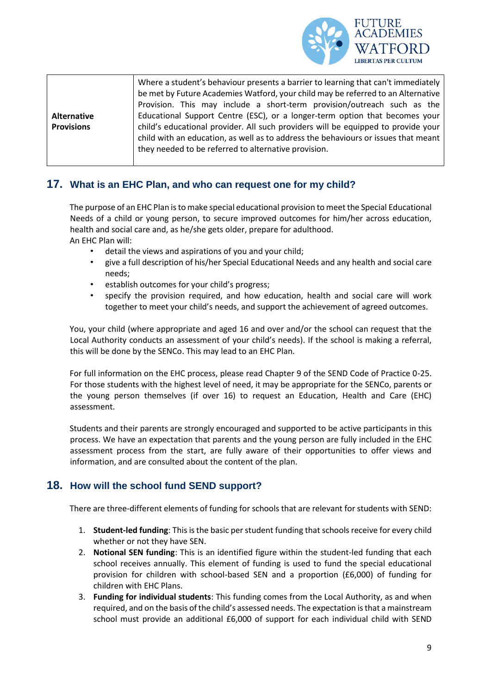

|                   | Where a student's behaviour presents a barrier to learning that can't immediately<br>be met by Future Academies Watford, your child may be referred to an Alternative<br>Provision. This may include a short-term provision/outreach such as the |
|-------------------|--------------------------------------------------------------------------------------------------------------------------------------------------------------------------------------------------------------------------------------------------|
| Alternative       | Educational Support Centre (ESC), or a longer-term option that becomes your                                                                                                                                                                      |
| <b>Provisions</b> | child's educational provider. All such providers will be equipped to provide your<br>child with an education, as well as to address the behaviours or issues that meant<br>they needed to be referred to alternative provision.                  |

# **17. What is an EHC Plan, and who can request one for my child?**

The purpose of an EHC Plan isto make special educational provision to meet the Special Educational Needs of a child or young person, to secure improved outcomes for him/her across education, health and social care and, as he/she gets older, prepare for adulthood. An EHC Plan will:

- detail the views and aspirations of you and your child;
- give a full description of his/her Special Educational Needs and any health and social care needs;
- establish outcomes for your child's progress;
- specify the provision required, and how education, health and social care will work together to meet your child's needs, and support the achievement of agreed outcomes.

You, your child (where appropriate and aged 16 and over and/or the school can request that the Local Authority conducts an assessment of your child's needs). If the school is making a referral, this will be done by the SENCo. This may lead to an EHC Plan.

For full information on the EHC process, please read Chapter 9 of the SEND Code of Practice 0-25. For those students with the highest level of need, it may be appropriate for the SENCo, parents or the young person themselves (if over 16) to request an Education, Health and Care (EHC) assessment.

Students and their parents are strongly encouraged and supported to be active participants in this process. We have an expectation that parents and the young person are fully included in the EHC assessment process from the start, are fully aware of their opportunities to offer views and information, and are consulted about the content of the plan.

# **18. How will the school fund SEND support?**

There are three-different elements of funding for schools that are relevant for students with SEND:

- 1. **Student-led funding**: This is the basic per student funding that schools receive for every child whether or not they have SEN.
- 2. **Notional SEN funding**: This is an identified figure within the student-led funding that each school receives annually. This element of funding is used to fund the special educational provision for children with school-based SEN and a proportion (£6,000) of funding for children with EHC Plans.
- 3. **Funding for individual students**: This funding comes from the Local Authority, as and when required, and on the basis of the child's assessed needs. The expectation is that a mainstream school must provide an additional £6,000 of support for each individual child with SEND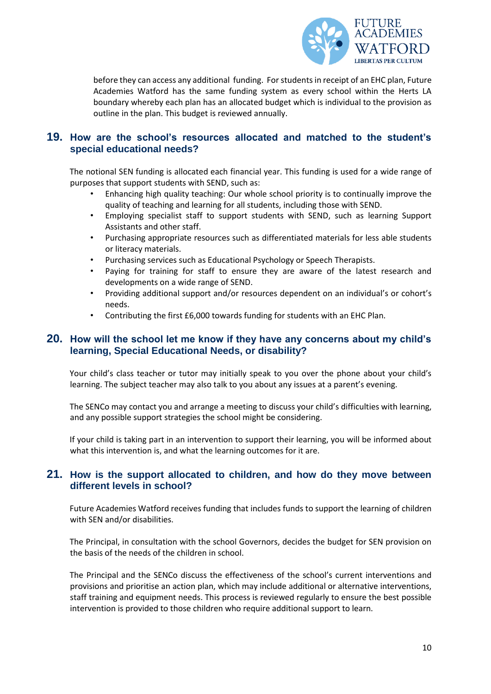

before they can access any additional funding. For students in receipt of an EHC plan, Future Academies Watford has the same funding system as every school within the Herts LA boundary whereby each plan has an allocated budget which is individual to the provision as outline in the plan. This budget is reviewed annually.

### **19. How are the school's resources allocated and matched to the student's special educational needs?**

The notional SEN funding is allocated each financial year. This funding is used for a wide range of purposes that support students with SEND, such as:

- Enhancing high quality teaching: Our whole school priority is to continually improve the quality of teaching and learning for all students, including those with SEND.
- Employing specialist staff to support students with SEND, such as learning Support Assistants and other staff.
- Purchasing appropriate resources such as differentiated materials for less able students or literacy materials.
- Purchasing services such as Educational Psychology or Speech Therapists.
- Paying for training for staff to ensure they are aware of the latest research and developments on a wide range of SEND.
- Providing additional support and/or resources dependent on an individual's or cohort's needs.
- Contributing the first £6,000 towards funding for students with an EHC Plan.

#### **20. How will the school let me know if they have any concerns about my child's learning, Special Educational Needs, or disability?**

Your child's class teacher or tutor may initially speak to you over the phone about your child's learning. The subject teacher may also talk to you about any issues at a parent's evening.

The SENCo may contact you and arrange a meeting to discuss your child's difficulties with learning, and any possible support strategies the school might be considering.

If your child is taking part in an intervention to support their learning, you will be informed about what this intervention is, and what the learning outcomes for it are.

#### **21. How is the support allocated to children, and how do they move between different levels in school?**

Future Academies Watford receives funding that includes funds to support the learning of children with SEN and/or disabilities.

The Principal, in consultation with the school Governors, decides the budget for SEN provision on the basis of the needs of the children in school.

The Principal and the SENCo discuss the effectiveness of the school's current interventions and provisions and prioritise an action plan, which may include additional or alternative interventions, staff training and equipment needs. This process is reviewed regularly to ensure the best possible intervention is provided to those children who require additional support to learn.